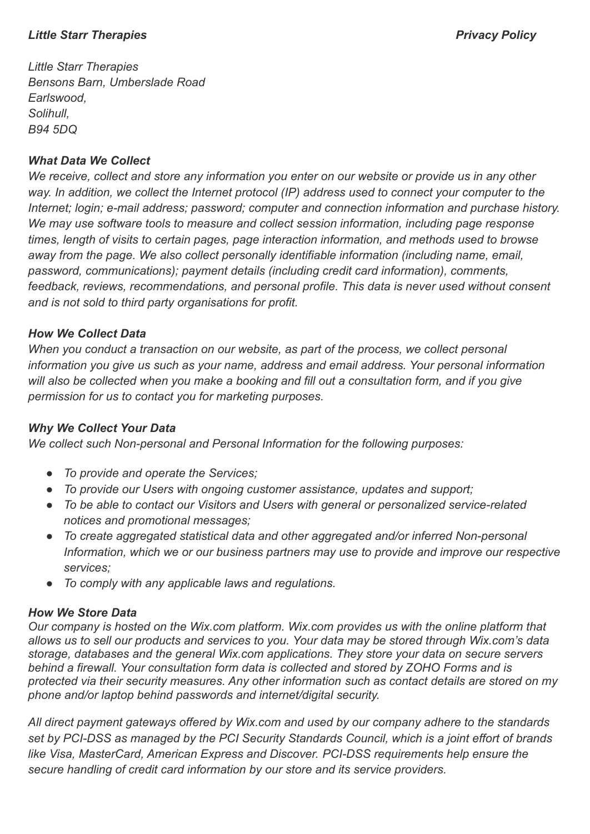### *Little Starr Therapies Privacy Policy*

*Little Starr Therapies Bensons Barn, Umberslade Road Earlswood, Solihull, B94 5DQ*

## *What Data We Collect*

*We receive, collect and store any information you enter on our website or provide us in any other way. In addition, we collect the Internet protocol (IP) address used to connect your computer to the Internet; login; e-mail address; password; computer and connection information and purchase history. We may use software tools to measure and collect session information, including page response times, length of visits to certain pages, page interaction information, and methods used to browse away from the page. We also collect personally identifiable information (including name, email, password, communications); payment details (including credit card information), comments, feedback, reviews, recommendations, and personal profile. This data is never used without consent and is not sold to third party organisations for profit.*

## *How We Collect Data*

*When you conduct a transaction on our website, as part of the process, we collect personal information you give us such as your name, address and email address. Your personal information will also be collected when you make a booking and fill out a consultation form, and if you give permission for us to contact you for marketing purposes.*

# *Why We Collect Your Data*

*We collect such Non-personal and Personal Information for the following purposes:*

- *● To provide and operate the Services;*
- *● To provide our Users with ongoing customer assistance, updates and support;*
- *● To be able to contact our Visitors and Users with general or personalized service-related notices and promotional messages;*
- *● To create aggregated statistical data and other aggregated and/or inferred Non-personal Information, which we or our business partners may use to provide and improve our respective services;*
- *● To comply with any applicable laws and regulations.*

#### *How We Store Data*

*Our company is hosted on the Wix.com platform. Wix.com provides us with the online platform that allows us to sell our products and services to you. Your data may be stored through Wix.com's data storage, databases and the general Wix.com applications. They store your data on secure servers behind a firewall. Your consultation form data is collected and stored by ZOHO Forms and is protected via their security measures. Any other information such as contact details are stored on my phone and/or laptop behind passwords and internet/digital security.*

*All direct payment gateways offered by Wix.com and used by our company adhere to the standards set by PCI-DSS as managed by the PCI Security Standards Council, which is a joint effort of brands like Visa, MasterCard, American Express and Discover. PCI-DSS requirements help ensure the secure handling of credit card information by our store and its service providers.*